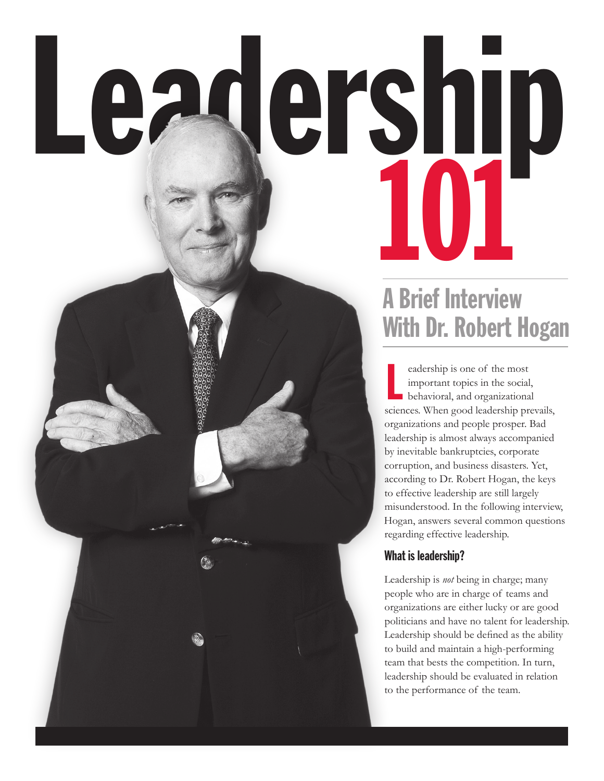# Leadership

# A Brief Interview With Dr. Robert Hogan

L eadership is one of the most important topics in the social, behavioral, and organizational sciences. When good leadership prevails, organizations and people prosper. Bad leadership is almost always accompanied by inevitable bankruptcies, corporate corruption, and business disasters. Yet, according to Dr. Robert Hogan, the keys to effective leadership are still largely misunderstood. In the following interview, Hogan, answers several common questions regarding effective leadership.

### What is leadership?

Leadership is *not* being in charge; many people who are in charge of teams and organizations are either lucky or are good politicians and have no talent for leadership. Leadership should be defined as the ability to build and maintain a high-performing team that bests the competition. In turn, leadership should be evaluated in relation to the performance of the team.